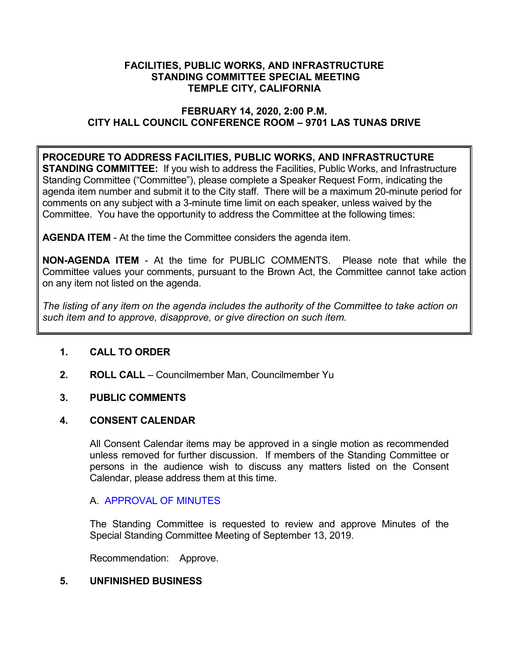## **FACILITIES, PUBLIC WORKS, AND INFRASTRUCTURE STANDING COMMITTEE SPECIAL MEETING TEMPLE CITY, CALIFORNIA**

## **FEBRUARY 14, 2020, 2:00 P.M. CITY HALL COUNCIL CONFERENCE ROOM – 9701 LAS TUNAS DRIVE**

## **PROCEDURE TO ADDRESS FACILITIES, PUBLIC WORKS, AND INFRASTRUCTURE**

**STANDING COMMITTEE:** If you wish to address the Facilities, Public Works, and Infrastructure Standing Committee ("Committee"), please complete a Speaker Request Form, indicating the agenda item number and submit it to the City staff. There will be a maximum 20-minute period for comments on any subject with a 3-minute time limit on each speaker, unless waived by the Committee. You have the opportunity to address the Committee at the following times:

**AGENDA ITEM** - At the time the Committee considers the agenda item.

**NON-AGENDA ITEM** - At the time for PUBLIC COMMENTS. Please note that while the Committee values your comments, pursuant to the Brown Act, the Committee cannot take action on any item not listed on the agenda.

*The listing of any item on the agenda includes the authority of the Committee to take action on such item and to approve, disapprove, or give direction on such item.*

## **1. CALL TO ORDER**

**2. ROLL CALL** – Councilmember Man, Councilmember Yu

## **3. PUBLIC COMMENTS**

## **4. CONSENT CALENDAR**

All Consent Calendar items may be approved in a single motion as recommended unless removed for further discussion. If members of the Standing Committee or persons in the audience wish to discuss any matters listed on the Consent Calendar, please address them at this time.

## A. [APPROVAL OF MINUTES](https://ca-templecity.civicplus.com/DocumentCenter/View/13862/2019-09-13-PWSC-minutes)

The Standing Committee is requested to review and approve Minutes of the Special Standing Committee Meeting of September 13, 2019.

Recommendation: Approve.

# **5. UNFINISHED BUSINESS**